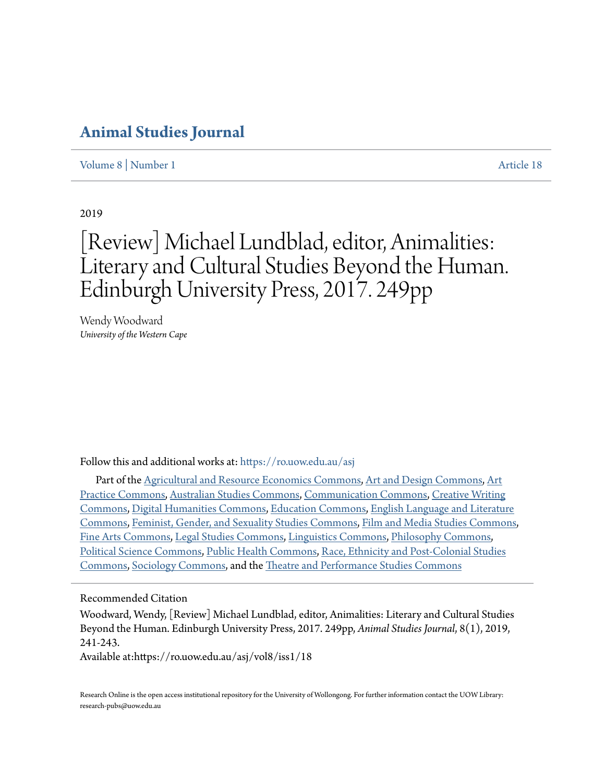## **[Animal Studies Journal](https://ro.uow.edu.au/asj?utm_source=ro.uow.edu.au%2Fasj%2Fvol8%2Fiss1%2F18&utm_medium=PDF&utm_campaign=PDFCoverPages)**

[Volume 8](https://ro.uow.edu.au/asj/vol8?utm_source=ro.uow.edu.au%2Fasj%2Fvol8%2Fiss1%2F18&utm_medium=PDF&utm_campaign=PDFCoverPages) | [Number 1](https://ro.uow.edu.au/asj/vol8/iss1?utm_source=ro.uow.edu.au%2Fasj%2Fvol8%2Fiss1%2F18&utm_medium=PDF&utm_campaign=PDFCoverPages) [Article 18](https://ro.uow.edu.au/asj/vol8/iss1/18?utm_source=ro.uow.edu.au%2Fasj%2Fvol8%2Fiss1%2F18&utm_medium=PDF&utm_campaign=PDFCoverPages)

2019

# [Review] Michael Lundblad, editor, Animalities: Literary and Cultural Studies Beyond the Human. Edinburgh University Press, 2017. 249pp

Wendy Woodward *University of the Western Cape*

Follow this and additional works at: [https://ro.uow.edu.au/asj](https://ro.uow.edu.au/asj?utm_source=ro.uow.edu.au%2Fasj%2Fvol8%2Fiss1%2F18&utm_medium=PDF&utm_campaign=PDFCoverPages)

Part of the [Agricultural and Resource Economics Commons](http://network.bepress.com/hgg/discipline/317?utm_source=ro.uow.edu.au%2Fasj%2Fvol8%2Fiss1%2F18&utm_medium=PDF&utm_campaign=PDFCoverPages), [Art and Design Commons](http://network.bepress.com/hgg/discipline/1049?utm_source=ro.uow.edu.au%2Fasj%2Fvol8%2Fiss1%2F18&utm_medium=PDF&utm_campaign=PDFCoverPages), [Art](http://network.bepress.com/hgg/discipline/509?utm_source=ro.uow.edu.au%2Fasj%2Fvol8%2Fiss1%2F18&utm_medium=PDF&utm_campaign=PDFCoverPages) [Practice Commons](http://network.bepress.com/hgg/discipline/509?utm_source=ro.uow.edu.au%2Fasj%2Fvol8%2Fiss1%2F18&utm_medium=PDF&utm_campaign=PDFCoverPages), [Australian Studies Commons](http://network.bepress.com/hgg/discipline/1020?utm_source=ro.uow.edu.au%2Fasj%2Fvol8%2Fiss1%2F18&utm_medium=PDF&utm_campaign=PDFCoverPages), [Communication Commons](http://network.bepress.com/hgg/discipline/325?utm_source=ro.uow.edu.au%2Fasj%2Fvol8%2Fiss1%2F18&utm_medium=PDF&utm_campaign=PDFCoverPages), [Creative Writing](http://network.bepress.com/hgg/discipline/574?utm_source=ro.uow.edu.au%2Fasj%2Fvol8%2Fiss1%2F18&utm_medium=PDF&utm_campaign=PDFCoverPages) [Commons,](http://network.bepress.com/hgg/discipline/574?utm_source=ro.uow.edu.au%2Fasj%2Fvol8%2Fiss1%2F18&utm_medium=PDF&utm_campaign=PDFCoverPages) [Digital Humanities Commons](http://network.bepress.com/hgg/discipline/1286?utm_source=ro.uow.edu.au%2Fasj%2Fvol8%2Fiss1%2F18&utm_medium=PDF&utm_campaign=PDFCoverPages), [Education Commons](http://network.bepress.com/hgg/discipline/784?utm_source=ro.uow.edu.au%2Fasj%2Fvol8%2Fiss1%2F18&utm_medium=PDF&utm_campaign=PDFCoverPages), [English Language and Literature](http://network.bepress.com/hgg/discipline/455?utm_source=ro.uow.edu.au%2Fasj%2Fvol8%2Fiss1%2F18&utm_medium=PDF&utm_campaign=PDFCoverPages) [Commons,](http://network.bepress.com/hgg/discipline/455?utm_source=ro.uow.edu.au%2Fasj%2Fvol8%2Fiss1%2F18&utm_medium=PDF&utm_campaign=PDFCoverPages) [Feminist, Gender, and Sexuality Studies Commons,](http://network.bepress.com/hgg/discipline/559?utm_source=ro.uow.edu.au%2Fasj%2Fvol8%2Fiss1%2F18&utm_medium=PDF&utm_campaign=PDFCoverPages) [Film and Media Studies Commons,](http://network.bepress.com/hgg/discipline/563?utm_source=ro.uow.edu.au%2Fasj%2Fvol8%2Fiss1%2F18&utm_medium=PDF&utm_campaign=PDFCoverPages) [Fine Arts Commons,](http://network.bepress.com/hgg/discipline/1141?utm_source=ro.uow.edu.au%2Fasj%2Fvol8%2Fiss1%2F18&utm_medium=PDF&utm_campaign=PDFCoverPages) [Legal Studies Commons](http://network.bepress.com/hgg/discipline/366?utm_source=ro.uow.edu.au%2Fasj%2Fvol8%2Fiss1%2F18&utm_medium=PDF&utm_campaign=PDFCoverPages), [Linguistics Commons](http://network.bepress.com/hgg/discipline/371?utm_source=ro.uow.edu.au%2Fasj%2Fvol8%2Fiss1%2F18&utm_medium=PDF&utm_campaign=PDFCoverPages), [Philosophy Commons,](http://network.bepress.com/hgg/discipline/525?utm_source=ro.uow.edu.au%2Fasj%2Fvol8%2Fiss1%2F18&utm_medium=PDF&utm_campaign=PDFCoverPages) [Political Science Commons](http://network.bepress.com/hgg/discipline/386?utm_source=ro.uow.edu.au%2Fasj%2Fvol8%2Fiss1%2F18&utm_medium=PDF&utm_campaign=PDFCoverPages), [Public Health Commons,](http://network.bepress.com/hgg/discipline/738?utm_source=ro.uow.edu.au%2Fasj%2Fvol8%2Fiss1%2F18&utm_medium=PDF&utm_campaign=PDFCoverPages) [Race, Ethnicity and Post-Colonial Studies](http://network.bepress.com/hgg/discipline/566?utm_source=ro.uow.edu.au%2Fasj%2Fvol8%2Fiss1%2F18&utm_medium=PDF&utm_campaign=PDFCoverPages) [Commons,](http://network.bepress.com/hgg/discipline/566?utm_source=ro.uow.edu.au%2Fasj%2Fvol8%2Fiss1%2F18&utm_medium=PDF&utm_campaign=PDFCoverPages) [Sociology Commons](http://network.bepress.com/hgg/discipline/416?utm_source=ro.uow.edu.au%2Fasj%2Fvol8%2Fiss1%2F18&utm_medium=PDF&utm_campaign=PDFCoverPages), and the [Theatre and Performance Studies Commons](http://network.bepress.com/hgg/discipline/552?utm_source=ro.uow.edu.au%2Fasj%2Fvol8%2Fiss1%2F18&utm_medium=PDF&utm_campaign=PDFCoverPages)

#### Recommended Citation

Woodward, Wendy, [Review] Michael Lundblad, editor, Animalities: Literary and Cultural Studies Beyond the Human. Edinburgh University Press, 2017. 249pp, *Animal Studies Journal*, 8(1), 2019, 241-243.

Available at:https://ro.uow.edu.au/asj/vol8/iss1/18

Research Online is the open access institutional repository for the University of Wollongong. For further information contact the UOW Library: research-pubs@uow.edu.au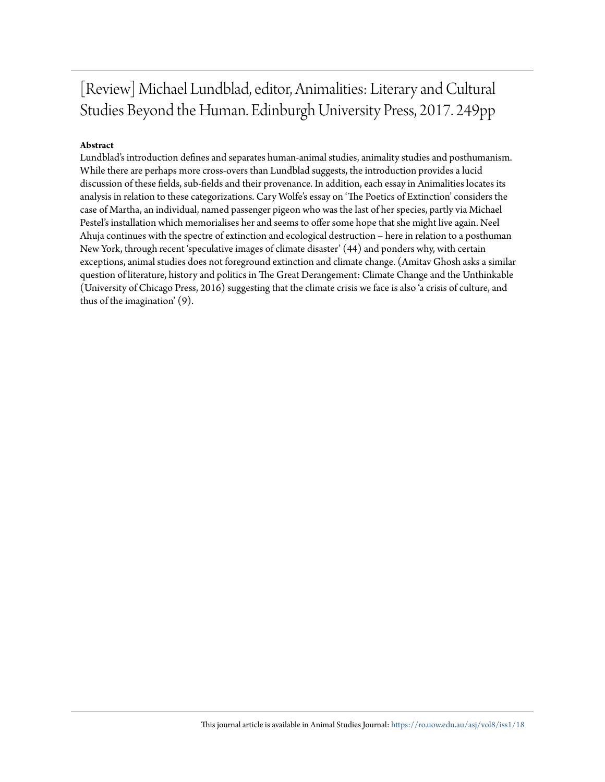## [Review] Michael Lundblad, editor, Animalities: Literary and Cultural Studies Beyond the Human. Edinburgh University Press, 2017. 249pp

### **Abstract**

Lundblad's introduction defines and separates human-animal studies, animality studies and posthumanism. While there are perhaps more cross-overs than Lundblad suggests, the introduction provides a lucid discussion of these fields, sub-fields and their provenance. In addition, each essay in Animalities locates its analysis in relation to these categorizations. Cary Wolfe's essay on 'The Poetics of Extinction' considers the case of Martha, an individual, named passenger pigeon who was the last of her species, partly via Michael Pestel's installation which memorialises her and seems to offer some hope that she might live again. Neel Ahuja continues with the spectre of extinction and ecological destruction – here in relation to a posthuman New York, through recent 'speculative images of climate disaster' (44) and ponders why, with certain exceptions, animal studies does not foreground extinction and climate change. (Amitav Ghosh asks a similar question of literature, history and politics in The Great Derangement: Climate Change and the Unthinkable (University of Chicago Press, 2016) suggesting that the climate crisis we face is also 'a crisis of culture, and thus of the imagination' (9).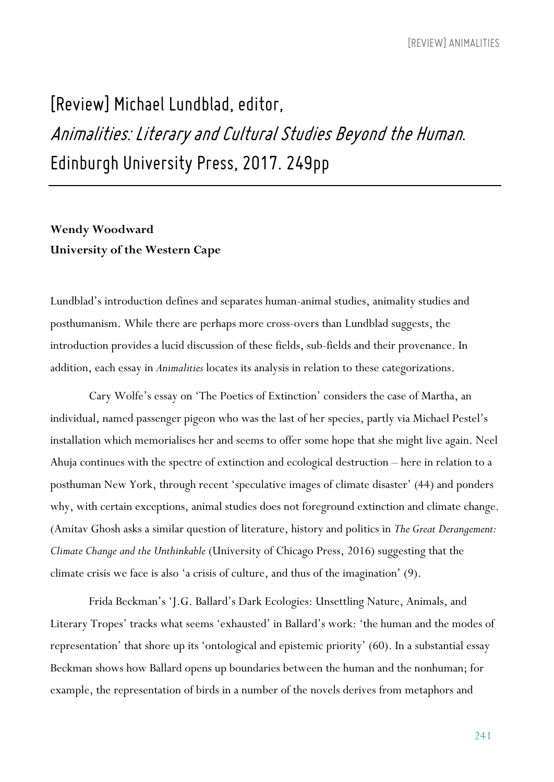# *[Review] Michael Lundblad, editor, Animalities: Literary and CulturalStudies Beyond the Human. Edinburgh University Press, 2017. 249pp*

### **Wendy Woodward University of the Western Cape**

Lundblad's introduction defines and separates human-animal studies, animality studies and posthumanism. While there are perhaps more cross-overs than Lundblad suggests, the introduction provides a lucid discussion of these fields, sub-fields and their provenance. In addition, each essay in *Animalities* locates its analysis in relation to these categorizations.

Cary Wolfe's essay on 'The Poetics of Extinction' considers the case of Martha, an individual, named passenger pigeon who was the last of her species, partly via Michael Pestel's installation which memorialises her and seems to offer some hope that she might live again. Neel Ahuja continues with the spectre of extinction and ecological destruction – here in relation to a posthuman New York, through recent 'speculative images of climate disaster' (44) and ponders why, with certain exceptions, animal studies does not foreground extinction and climate change. (Amitav Ghosh asks a similar question of literature, history and politics in *The Great Derangement: Climate Change and the Unthinkable* (University of Chicago Press, 2016) suggesting that the climate crisis we face is also 'a crisis of culture, and thus of the imagination' (9).

Frida Beckman's 'J.G. Ballard's Dark Ecologies: Unsettling Nature, Animals, and Literary Tropes' tracks what seems 'exhausted' in Ballard's work: 'the human and the modes of representation' that shore up its 'ontological and epistemic priority' (60). In a substantial essay Beckman shows how Ballard opens up boundaries between the human and the nonhuman; for example, the representation of birds in a number of the novels derives from metaphors and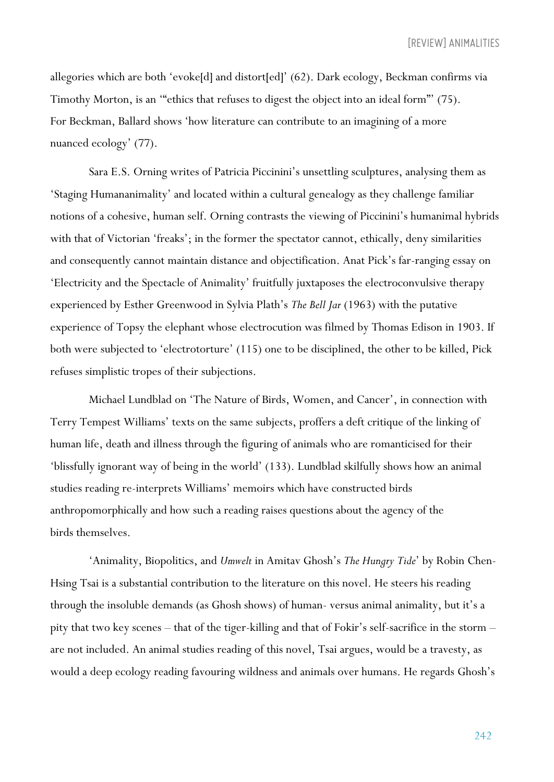*[REVIEW] ANIMALITIES*

allegories which are both 'evoke[d] and distort[ed]' (62). Dark ecology, Beckman confirms via Timothy Morton, is an '"ethics that refuses to digest the object into an ideal form"' (75). For Beckman, Ballard shows 'how literature can contribute to an imagining of a more nuanced ecology' (77).

Sara E.S. Orning writes of Patricia Piccinini's unsettling sculptures, analysing them as 'Staging Humananimality' and located within a cultural genealogy as they challenge familiar notions of a cohesive, human self. Orning contrasts the viewing of Piccinini's humanimal hybrids with that of Victorian 'freaks'; in the former the spectator cannot, ethically, deny similarities and consequently cannot maintain distance and objectification. Anat Pick's far-ranging essay on 'Electricity and the Spectacle of Animality' fruitfully juxtaposes the electroconvulsive therapy experienced by Esther Greenwood in Sylvia Plath's *The Bell Jar* (1963) with the putative experience of Topsy the elephant whose electrocution was filmed by Thomas Edison in 1903. If both were subjected to 'electrotorture' (115) one to be disciplined, the other to be killed, Pick refuses simplistic tropes of their subjections.

Michael Lundblad on 'The Nature of Birds, Women, and Cancer', in connection with Terry Tempest Williams' texts on the same subjects, proffers a deft critique of the linking of human life, death and illness through the figuring of animals who are romanticised for their 'blissfully ignorant way of being in the world' (133). Lundblad skilfully shows how an animal studies reading re-interprets Williams' memoirs which have constructed birds anthropomorphically and how such a reading raises questions about the agency of the birds themselves.

'Animality, Biopolitics, and *Umwelt* in Amitav Ghosh's *The Hungry Tide*' by Robin Chen-Hsing Tsai is a substantial contribution to the literature on this novel. He steers his reading through the insoluble demands (as Ghosh shows) of human- versus animal animality, but it's a pity that two key scenes – that of the tiger-killing and that of Fokir's self-sacrifice in the storm – are not included. An animal studies reading of this novel, Tsai argues, would be a travesty, as would a deep ecology reading favouring wildness and animals over humans. He regards Ghosh's